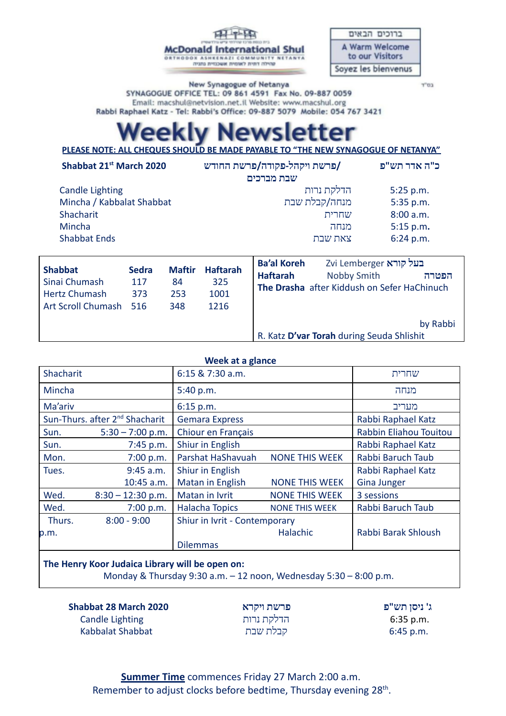| בית כנסת מרכז שהילתי עיש גולד |                                                            |  |  |  |
|-------------------------------|------------------------------------------------------------|--|--|--|
|                               | Donald International Shu                                   |  |  |  |
|                               | <b>AZI</b><br>COMMUNITY<br>טהילה דתית לאומית אשכנזית נתגיה |  |  |  |

Mc

ברוכים הבאים A Warm Welcome to our Visitors Soyez les bienvenus

בס"ד

New Synagogue of Netanya SYNAGOGUE OFFICE TEL: 09 861 4591 Fax No. 09-887 0059 Email: macshul@netvision.net.il Website: www.macshul.org Rabbi Raphael Katz - Tel: Rabbi's Office: 09-887 5079 Mobile: 054 767 3421

# vsletter

**PLEASE NOTE: ALL CHEQUES SHOULD BE MADE PAYABLE TO "THE NEW SYNAGOGUE OF NETANYA"**

| Shabbat 21st March 2020   | /פרשת ויקהל-פקודה/פרשת החודש | כ"ה אדר תש"פ                               |
|---------------------------|------------------------------|--------------------------------------------|
|                           | שבת מברכים                   |                                            |
| <b>Candle Lighting</b>    | הדלקת נרות                   | 5:25 p.m.                                  |
| Mincha / Kabbalat Shabbat | מנחה/קבלת שבת                | 5:35 p.m.                                  |
| Shacharit                 | שחרית                        | 8:00 a.m.                                  |
| Mincha                    | מנחה                         | 5:15 p.m.                                  |
| <b>Shabbat Ends</b>       | צאת שבת                      | 6:24 p.m.                                  |
|                           |                              |                                            |
|                           | $D = L + L$                  | 79. Matangalan kacamatan kecamatan bersemu |

| <b>Shabbat</b><br>Sinai Chumash<br><b>Hertz Chumash</b><br>Art Scroll Chumash 516 | <b>Sedra</b><br>117<br>373 | <b>Maftir</b><br>84<br>253<br>348 | <b>Haftarah</b><br>325<br>1001<br>1216 | בעל קורא Zvi Lemberger<br><b>Ba'al Koreh</b><br>Nobby Smith<br><b>Haftarah</b><br>The Drasha after Kiddush on Sefer HaChinuch |                                                       | הפטרה |
|-----------------------------------------------------------------------------------|----------------------------|-----------------------------------|----------------------------------------|-------------------------------------------------------------------------------------------------------------------------------|-------------------------------------------------------|-------|
|                                                                                   |                            |                                   |                                        |                                                                                                                               | by Rabbi<br>R. Katz D'var Torah during Seuda Shlishit |       |

| Week at a glance |                                             |                               |                       |                        |  |
|------------------|---------------------------------------------|-------------------------------|-----------------------|------------------------|--|
| Shacharit        |                                             | 6:15 & 7:30 a.m.              |                       | שחרית                  |  |
| Mincha           |                                             | 5:40 p.m.                     |                       | מנחה                   |  |
| Ma'ariv          |                                             | 6:15 p.m.                     |                       | מעריב                  |  |
|                  | Sun-Thurs. after 2 <sup>nd</sup> Shacharit  | <b>Gemara Express</b>         |                       | Rabbi Raphael Katz     |  |
| Sun.             | $5:30 - 7:00$ p.m.                          | Chiour en Français            |                       | Rabbin Eliahou Touitou |  |
| Sun.             | $7:45$ p.m.                                 | Shiur in English              |                       | Rabbi Raphael Katz     |  |
| Mon.             | 7:00 p.m.                                   | Parshat HaShavuah             | <b>NONE THIS WEEK</b> | Rabbi Baruch Taub      |  |
| Tues.            | $9:45$ a.m.                                 | Shiur in English              |                       | Rabbi Raphael Katz     |  |
|                  | 10:45 a.m.                                  | Matan in English              | <b>NONE THIS WEEK</b> | <b>Gina Junger</b>     |  |
| Wed.             | $8:30 - 12:30$ p.m.                         | Matan in Ivrit                | <b>NONE THIS WEEK</b> | 3 sessions             |  |
| Wed.             | 7:00 p.m.                                   | <b>Halacha Topics</b>         | <b>NONE THIS WEEK</b> | Rabbi Baruch Taub      |  |
| Thurs.           | $8:00 - 9:00$                               | Shiur in Ivrit - Contemporary |                       |                        |  |
| p.m.             |                                             |                               | Halachic              | Rabbi Barak Shloush    |  |
|                  |                                             | <b>Dilemmas</b>               |                       |                        |  |
|                  | The Henry Keep bulster Homem will be energy |                               |                       |                        |  |

## **The Henry Koor Judaica Library will be open on:**

Monday & Thursday 9:30 a.m. – 12 noon, Wednesday 5:30 – 8:00 p.m.

 **Shabbat 28 March 2020** Candle Lighting Kabbalat Shabbat

**פרשת ויקרא** הדלקת נרות קבלת שבת

**ג' ניסן תש"פ** 6:35 p.m. 6:45 p.m.

**Summer Time** commences Friday 27 March 2:00 a.m. Remember to adjust clocks before bedtime, Thursday evening 28<sup>th</sup>.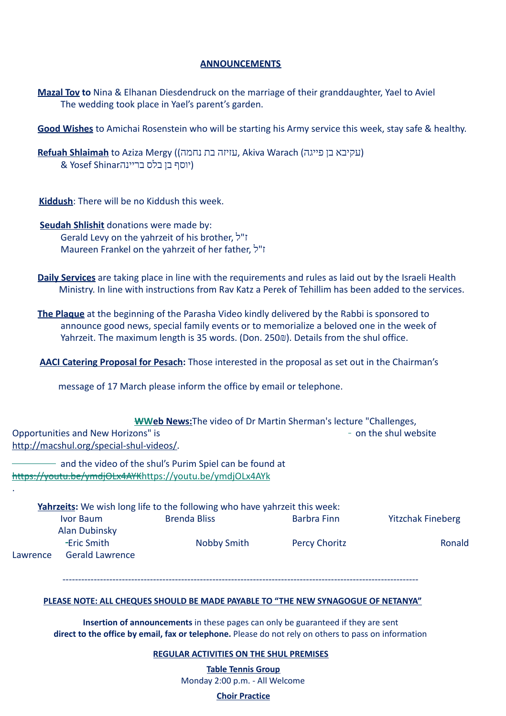### **ANNOUNCEMENTS**

 **Mazal Tov to** Nina & Elhanan Diesdendruck on the marriage of their granddaughter, Yael to Aviel The wedding took place in Yael's parent's garden.

**Good Wishes** to Amichai Rosenstein who will be starting his Army service this week, stay safe & healthy.

**Refuah Shlaimah** to Aziza Mergy (נעקיבא בן פייגה Akiva Warach (נעקיבא בן פייגה (יוסף בן בלס בריינה Shinar Yosef &

**Kiddush:** There will be no Kiddush this week.

- **Seudah Shlishit** donations were made by: Gerald Levy on the yahrzeit of his brother, ל"ז Maureen Frankel on the yahrzeit of her father, ל"ז
- **Daily Services** are taking place in line with the requirements and rules as laid out by the Israeli Health Ministry. In line with instructions from Rav Katz a Perek of Tehillim has been added to the services.
- **The Plaque** at the beginning of the Parasha Video kindly delivered by the Rabbi is sponsored to announce good news, special family events or to memorialize a beloved one in the week of Yahrzeit. The maximum length is 35 words. (Don. 250 $\omega$ ). Details from the shul office.

AACI Catering Proposal for Pesach: Those interested in the proposal as set out in the Chairman's

message of 17 March please inform the office by email or telephone.

| <b>WWeb News:</b> The video of Dr Martin Sherman's lecture "Challenges, |                       |  |  |  |
|-------------------------------------------------------------------------|-----------------------|--|--|--|
| Opportunities and New Horizons" is                                      | - on the shul website |  |  |  |
| http://macshul.org/special-shul-videos/.                                |                       |  |  |  |

- and the video of the shul's Purim Spiel can be found at [https://youtu.be/ymdjOLx4AYK https://youtu.be/ymdjOLx4AYk](https://youtu.be/ymdjOLx4AYK) 

.

|          |                        | Yahrzeits: We wish long life to the following who have yahrzeit this week: |                      |                          |
|----------|------------------------|----------------------------------------------------------------------------|----------------------|--------------------------|
|          | Ivor Baum              | <b>Brenda Bliss</b>                                                        | Barbra Finn          | <b>Yitzchak Fineberg</b> |
|          | Alan Dubinsky          |                                                                            |                      |                          |
|          | -Eric Smith            | Nobby Smith                                                                | <b>Percy Choritz</b> | Ronald                   |
| Lawrence | <b>Gerald Lawrence</b> |                                                                            |                      |                          |

------------------------------------------------------------------------------------------------------------------

#### **PLEASE NOTE: ALL CHEQUES SHOULD BE MADE PAYABLE TO "THE NEW SYNAGOGUE OF NETANYA"**

**Insertion of announcements** in these pages can only be guaranteed if they are sent **direct to the office by email, fax or telephone.** Please do not rely on others to pass on information

#### **REGULAR ACTIVITIES ON THE SHUL PREMISES**

**Table Tennis Group** Monday 2:00 p.m. - All Welcome

**Choir Practice**